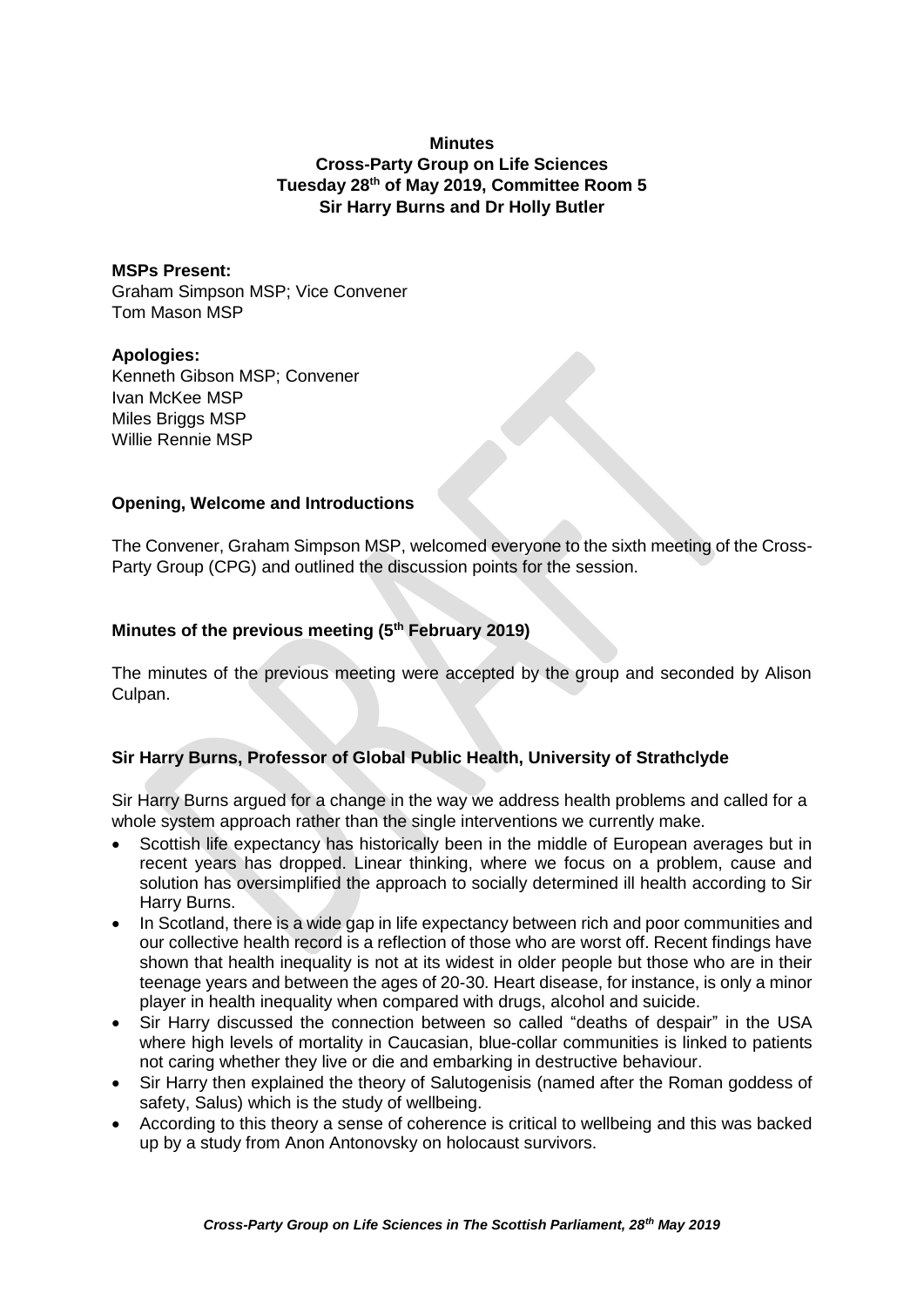# **Minutes Cross-Party Group on Life Sciences Tuesday 28th of May 2019, Committee Room 5 Sir Harry Burns and Dr Holly Butler**

#### **MSPs Present:**

Graham Simpson MSP; Vice Convener Tom Mason MSP

#### **Apologies:**

Kenneth Gibson MSP; Convener Ivan McKee MSP Miles Briggs MSP Willie Rennie MSP

## **Opening, Welcome and Introductions**

The Convener, Graham Simpson MSP, welcomed everyone to the sixth meeting of the Cross-Party Group (CPG) and outlined the discussion points for the session.

## **Minutes of the previous meeting (5th February 2019)**

The minutes of the previous meeting were accepted by the group and seconded by Alison Culpan.

## **Sir Harry Burns, Professor of Global Public Health, University of Strathclyde**

Sir Harry Burns argued for a change in the way we address health problems and called for a whole system approach rather than the single interventions we currently make.

- Scottish life expectancy has historically been in the middle of European averages but in recent years has dropped. Linear thinking, where we focus on a problem, cause and solution has oversimplified the approach to socially determined ill health according to Sir Harry Burns.
- In Scotland, there is a wide gap in life expectancy between rich and poor communities and our collective health record is a reflection of those who are worst off. Recent findings have shown that health inequality is not at its widest in older people but those who are in their teenage years and between the ages of 20-30. Heart disease, for instance, is only a minor player in health inequality when compared with drugs, alcohol and suicide.
- Sir Harry discussed the connection between so called "deaths of despair" in the USA where high levels of mortality in Caucasian, blue-collar communities is linked to patients not caring whether they live or die and embarking in destructive behaviour.
- Sir Harry then explained the theory of Salutogenisis (named after the Roman goddess of safety, Salus) which is the study of wellbeing.
- According to this theory a sense of coherence is critical to wellbeing and this was backed up by a study from Anon Antonovsky on holocaust survivors.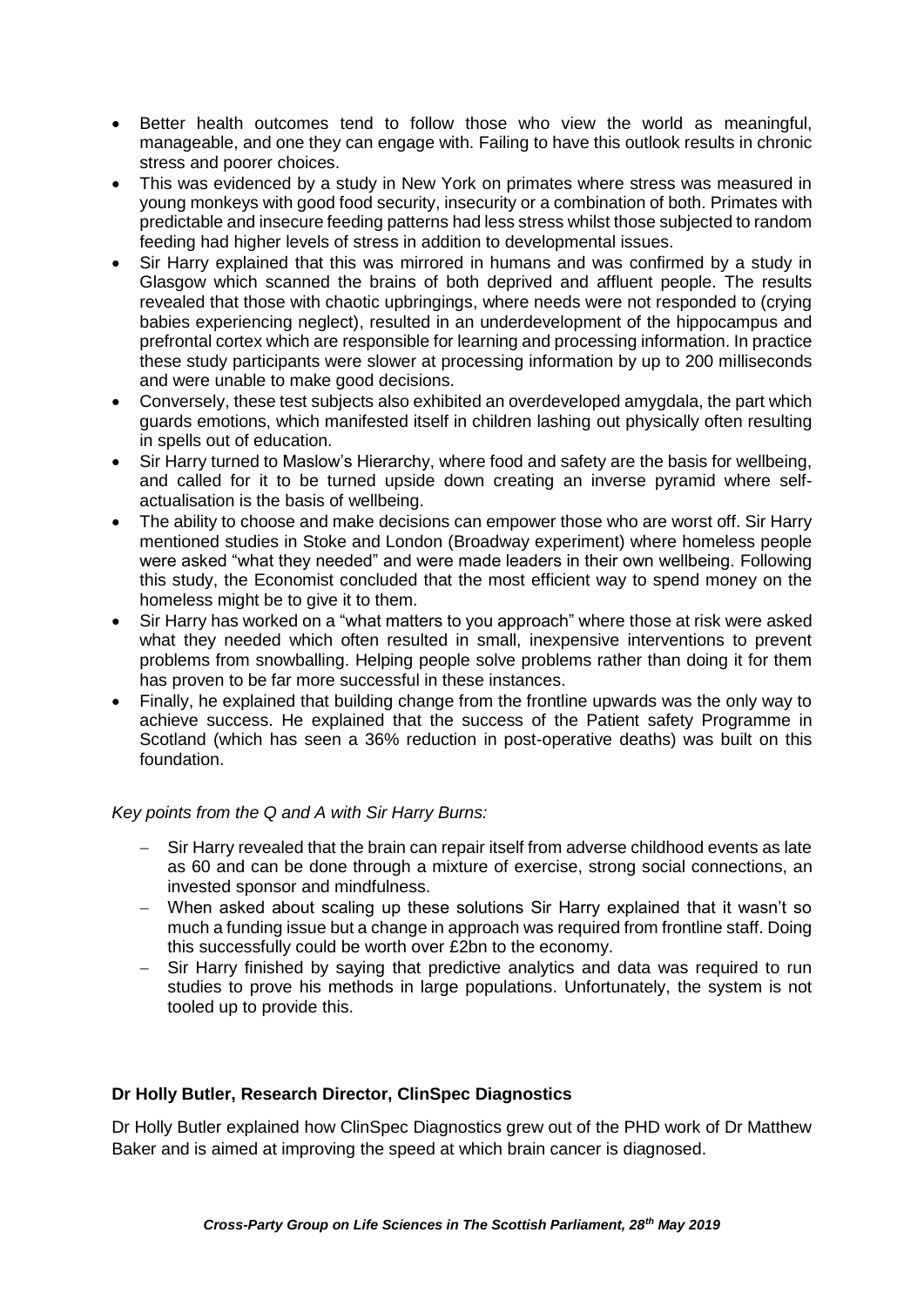- Better health outcomes tend to follow those who view the world as meaningful, manageable, and one they can engage with. Failing to have this outlook results in chronic stress and poorer choices.
- This was evidenced by a study in New York on primates where stress was measured in young monkeys with good food security, insecurity or a combination of both. Primates with predictable and insecure feeding patterns had less stress whilst those subjected to random feeding had higher levels of stress in addition to developmental issues.
- Sir Harry explained that this was mirrored in humans and was confirmed by a study in Glasgow which scanned the brains of both deprived and affluent people. The results revealed that those with chaotic upbringings, where needs were not responded to (crying babies experiencing neglect), resulted in an underdevelopment of the hippocampus and prefrontal cortex which are responsible for learning and processing information. In practice these study participants were slower at processing information by up to 200 milliseconds and were unable to make good decisions.
- Conversely, these test subjects also exhibited an overdeveloped amygdala, the part which guards emotions, which manifested itself in children lashing out physically often resulting in spells out of education.
- Sir Harry turned to Maslow's Hierarchy, where food and safety are the basis for wellbeing. and called for it to be turned upside down creating an inverse pyramid where selfactualisation is the basis of wellbeing.
- The ability to choose and make decisions can empower those who are worst off. Sir Harry mentioned studies in Stoke and London (Broadway experiment) where homeless people were asked "what they needed" and were made leaders in their own wellbeing. Following this study, the Economist concluded that the most efficient way to spend money on the homeless might be to give it to them.
- Sir Harry has worked on a "what matters to you approach" where those at risk were asked what they needed which often resulted in small, inexpensive interventions to prevent problems from snowballing. Helping people solve problems rather than doing it for them has proven to be far more successful in these instances.
- Finally, he explained that building change from the frontline upwards was the only way to achieve success. He explained that the success of the Patient safety Programme in Scotland (which has seen a 36% reduction in post-operative deaths) was built on this foundation.

## *Key points from the Q and A with Sir Harry Burns:*

- Sir Harry revealed that the brain can repair itself from adverse childhood events as late as 60 and can be done through a mixture of exercise, strong social connections, an invested sponsor and mindfulness.
- − When asked about scaling up these solutions Sir Harry explained that it wasn't so much a funding issue but a change in approach was required from frontline staff. Doing this successfully could be worth over £2bn to the economy.
- − Sir Harry finished by saying that predictive analytics and data was required to run studies to prove his methods in large populations. Unfortunately, the system is not tooled up to provide this.

## **Dr Holly Butler, Research Director, ClinSpec Diagnostics**

Dr Holly Butler explained how ClinSpec Diagnostics grew out of the PHD work of Dr Matthew Baker and is aimed at improving the speed at which brain cancer is diagnosed.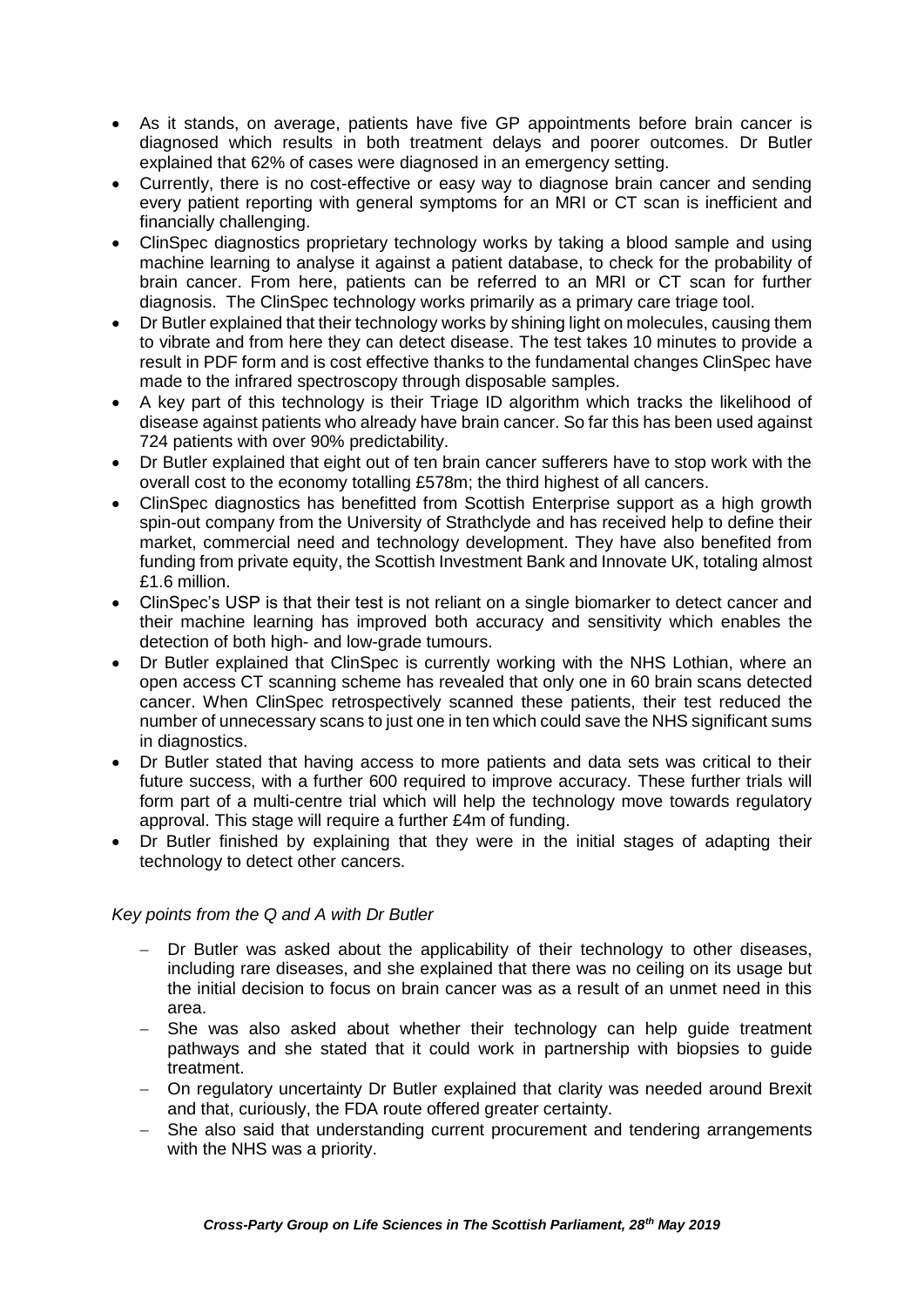- As it stands, on average, patients have five GP appointments before brain cancer is diagnosed which results in both treatment delays and poorer outcomes. Dr Butler explained that 62% of cases were diagnosed in an emergency setting.
- Currently, there is no cost-effective or easy way to diagnose brain cancer and sending every patient reporting with general symptoms for an MRI or CT scan is inefficient and financially challenging.
- ClinSpec diagnostics proprietary technology works by taking a blood sample and using machine learning to analyse it against a patient database, to check for the probability of brain cancer. From here, patients can be referred to an MRI or CT scan for further diagnosis. The ClinSpec technology works primarily as a primary care triage tool.
- Dr Butler explained that their technology works by shining light on molecules, causing them to vibrate and from here they can detect disease. The test takes 10 minutes to provide a result in PDF form and is cost effective thanks to the fundamental changes ClinSpec have made to the infrared spectroscopy through disposable samples.
- A key part of this technology is their Triage ID algorithm which tracks the likelihood of disease against patients who already have brain cancer. So far this has been used against 724 patients with over 90% predictability.
- Dr Butler explained that eight out of ten brain cancer sufferers have to stop work with the overall cost to the economy totalling £578m; the third highest of all cancers.
- ClinSpec diagnostics has benefitted from Scottish Enterprise support as a high growth spin-out company from the University of Strathclyde and has received help to define their market, commercial need and technology development. They have also benefited from funding from private equity, the Scottish Investment Bank and Innovate UK, totaling almost £1.6 million.
- ClinSpec's USP is that their test is not reliant on a single biomarker to detect cancer and their machine learning has improved both accuracy and sensitivity which enables the detection of both high- and low-grade tumours.
- Dr Butler explained that ClinSpec is currently working with the NHS Lothian, where an open access CT scanning scheme has revealed that only one in 60 brain scans detected cancer. When ClinSpec retrospectively scanned these patients, their test reduced the number of unnecessary scans to just one in ten which could save the NHS significant sums in diagnostics.
- Dr Butler stated that having access to more patients and data sets was critical to their future success, with a further 600 required to improve accuracy. These further trials will form part of a multi-centre trial which will help the technology move towards regulatory approval. This stage will require a further £4m of funding.
- Dr Butler finished by explaining that they were in the initial stages of adapting their technology to detect other cancers.

## *Key points from the Q and A with Dr Butler*

- Dr Butler was asked about the applicability of their technology to other diseases, including rare diseases, and she explained that there was no ceiling on its usage but the initial decision to focus on brain cancer was as a result of an unmet need in this area.
- − She was also asked about whether their technology can help guide treatment pathways and she stated that it could work in partnership with biopsies to guide treatment.
- − On regulatory uncertainty Dr Butler explained that clarity was needed around Brexit and that, curiously, the FDA route offered greater certainty.
- She also said that understanding current procurement and tendering arrangements with the NHS was a priority.